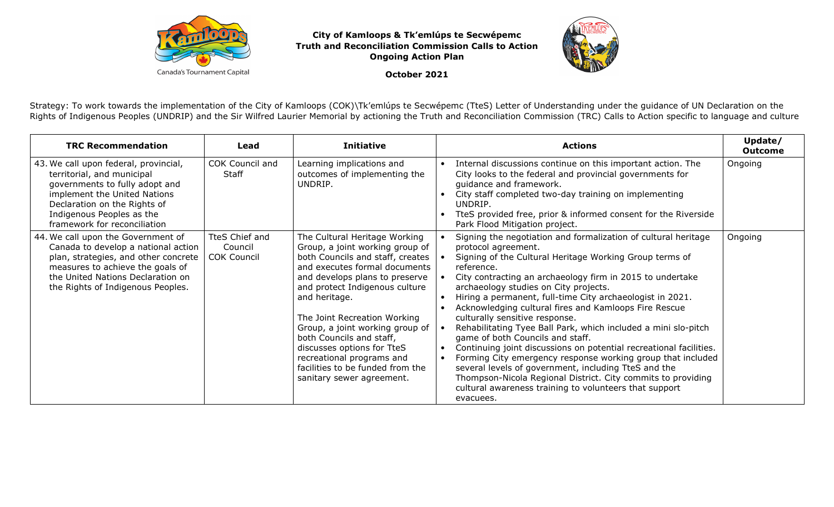

**City of Kamloops & Tk'emlúps te Secwépemc Truth and Reconciliation Commission Calls to ActionOngoing Action Plan** 



**October 2021** 

Strategy: To work towards the implementation of the City of Kamloops (COK)\Tk'emlúps te Secwépemc (TteS) Letter of Understanding under the guidance of UN Declaration on the Rights of Indigenous Peoples (UNDRIP) and the Sir Wilfred Laurier Memorial by actioning the Truth and Reconciliation Commission (TRC) Calls to Action specific to language and culture

| <b>TRC Recommendation</b>                                                                                                                                                                                                          | Lead                                            | <b>Initiative</b>                                                                                                                                                                                                                                                                                                                                                                                                                                     | Update/<br><b>Actions</b><br><b>Outcome</b>                                                                                                                                                                                                                                                                                                                                                                                                                                                                                                                                                                                                                                                                                                                                                                                                                                       |
|------------------------------------------------------------------------------------------------------------------------------------------------------------------------------------------------------------------------------------|-------------------------------------------------|-------------------------------------------------------------------------------------------------------------------------------------------------------------------------------------------------------------------------------------------------------------------------------------------------------------------------------------------------------------------------------------------------------------------------------------------------------|-----------------------------------------------------------------------------------------------------------------------------------------------------------------------------------------------------------------------------------------------------------------------------------------------------------------------------------------------------------------------------------------------------------------------------------------------------------------------------------------------------------------------------------------------------------------------------------------------------------------------------------------------------------------------------------------------------------------------------------------------------------------------------------------------------------------------------------------------------------------------------------|
| 43. We call upon federal, provincial,<br>territorial, and municipal<br>governments to fully adopt and<br>implement the United Nations<br>Declaration on the Rights of<br>Indigenous Peoples as the<br>framework for reconciliation | COK Council and<br><b>Staff</b>                 | Learning implications and<br>outcomes of implementing the<br>UNDRIP.                                                                                                                                                                                                                                                                                                                                                                                  | Internal discussions continue on this important action. The<br>Ongoing<br>City looks to the federal and provincial governments for<br>guidance and framework.<br>City staff completed two-day training on implementing<br>UNDRIP.<br>TteS provided free, prior & informed consent for the Riverside<br>Park Flood Mitigation project.                                                                                                                                                                                                                                                                                                                                                                                                                                                                                                                                             |
| 44. We call upon the Government of<br>Canada to develop a national action<br>plan, strategies, and other concrete<br>measures to achieve the goals of<br>the United Nations Declaration on<br>the Rights of Indigenous Peoples.    | TteS Chief and<br>Council<br><b>COK Council</b> | The Cultural Heritage Working<br>Group, a joint working group of<br>both Councils and staff, creates<br>and executes formal documents<br>and develops plans to preserve<br>and protect Indigenous culture<br>and heritage.<br>The Joint Recreation Working<br>Group, a joint working group of<br>both Councils and staff,<br>discusses options for TteS<br>recreational programs and<br>facilities to be funded from the<br>sanitary sewer agreement. | Signing the negotiation and formalization of cultural heritage<br>Ongoing<br>protocol agreement.<br>Signing of the Cultural Heritage Working Group terms of<br>reference.<br>City contracting an archaeology firm in 2015 to undertake<br>archaeology studies on City projects.<br>Hiring a permanent, full-time City archaeologist in 2021.<br>Acknowledging cultural fires and Kamloops Fire Rescue<br>culturally sensitive response.<br>Rehabilitating Tyee Ball Park, which included a mini slo-pitch<br>game of both Councils and staff.<br>Continuing joint discussions on potential recreational facilities.<br>Forming City emergency response working group that included<br>several levels of government, including TteS and the<br>Thompson-Nicola Regional District. City commits to providing<br>cultural awareness training to volunteers that support<br>evacuees. |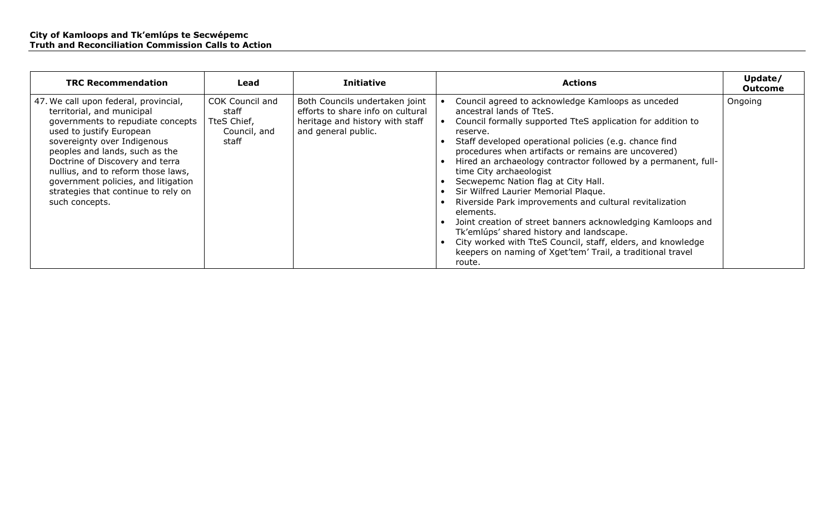| <b>TRC Recommendation</b>                                                                                                                                                                                                                                                                                                                                                      | Lead                                                             | <b>Initiative</b>                                                                                                             | <b>Actions</b>                                                                                                                                                                                                                                                                                                                                                                                                                                                                                                                                                                                                                                                                                                                                                                  | Update/<br><b>Outcome</b> |
|--------------------------------------------------------------------------------------------------------------------------------------------------------------------------------------------------------------------------------------------------------------------------------------------------------------------------------------------------------------------------------|------------------------------------------------------------------|-------------------------------------------------------------------------------------------------------------------------------|---------------------------------------------------------------------------------------------------------------------------------------------------------------------------------------------------------------------------------------------------------------------------------------------------------------------------------------------------------------------------------------------------------------------------------------------------------------------------------------------------------------------------------------------------------------------------------------------------------------------------------------------------------------------------------------------------------------------------------------------------------------------------------|---------------------------|
| 47. We call upon federal, provincial,<br>territorial, and municipal<br>governments to repudiate concepts<br>used to justify European<br>sovereignty over Indigenous<br>peoples and lands, such as the<br>Doctrine of Discovery and terra<br>nullius, and to reform those laws,<br>government policies, and litigation<br>strategies that continue to rely on<br>such concepts. | COK Council and<br>staff<br>TteS Chief,<br>Council, and<br>staff | Both Councils undertaken joint<br>efforts to share info on cultural<br>heritage and history with staff<br>and general public. | Council agreed to acknowledge Kamloops as unceded<br>ancestral lands of TteS.<br>Council formally supported TteS application for addition to<br>reserve.<br>Staff developed operational policies (e.g. chance find<br>procedures when artifacts or remains are uncovered)<br>Hired an archaeology contractor followed by a permanent, full-<br>time City archaeologist<br>Secwepemc Nation flag at City Hall.<br>Sir Wilfred Laurier Memorial Plaque.<br>Riverside Park improvements and cultural revitalization<br>elements.<br>Joint creation of street banners acknowledging Kamloops and<br>Tk'emlúps' shared history and landscape.<br>City worked with TteS Council, staff, elders, and knowledge<br>keepers on naming of Xget'tem' Trail, a traditional travel<br>route. | Ongoing                   |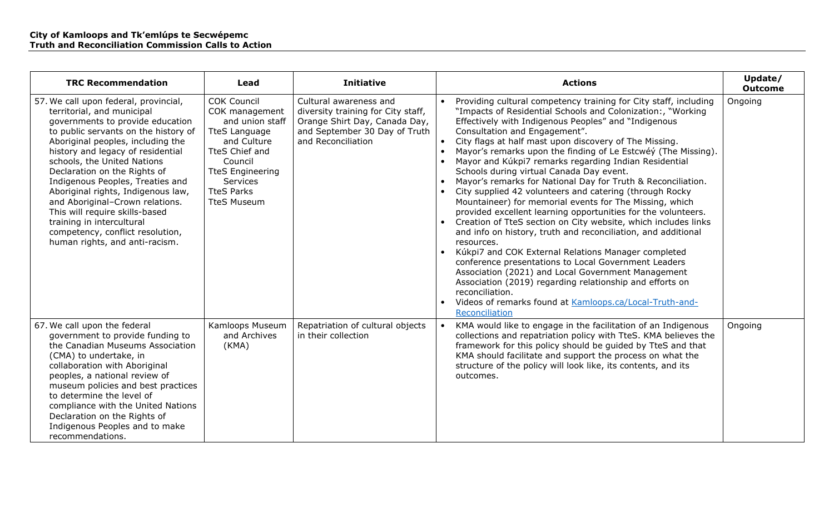| <b>TRC Recommendation</b>                                                                                                                                                                                                                                                                                                                                                                                                                                                                                                                  | Lead                                                                                                                                                                                                          | <b>Initiative</b>                                                                                                                                    | <b>Actions</b>                                                                                                                                                                                                                                                                                                                                                                                                                                                                                                                                                                                                                                                                                                                                                                                                                                                                                                                                                                                                                                                                                                                                                                                         | Update/<br><b>Outcome</b> |
|--------------------------------------------------------------------------------------------------------------------------------------------------------------------------------------------------------------------------------------------------------------------------------------------------------------------------------------------------------------------------------------------------------------------------------------------------------------------------------------------------------------------------------------------|---------------------------------------------------------------------------------------------------------------------------------------------------------------------------------------------------------------|------------------------------------------------------------------------------------------------------------------------------------------------------|--------------------------------------------------------------------------------------------------------------------------------------------------------------------------------------------------------------------------------------------------------------------------------------------------------------------------------------------------------------------------------------------------------------------------------------------------------------------------------------------------------------------------------------------------------------------------------------------------------------------------------------------------------------------------------------------------------------------------------------------------------------------------------------------------------------------------------------------------------------------------------------------------------------------------------------------------------------------------------------------------------------------------------------------------------------------------------------------------------------------------------------------------------------------------------------------------------|---------------------------|
| 57. We call upon federal, provincial,<br>territorial, and municipal<br>governments to provide education<br>to public servants on the history of<br>Aboriginal peoples, including the<br>history and legacy of residential<br>schools, the United Nations<br>Declaration on the Rights of<br>Indigenous Peoples, Treaties and<br>Aboriginal rights, Indigenous law,<br>and Aboriginal-Crown relations.<br>This will require skills-based<br>training in intercultural<br>competency, conflict resolution,<br>human rights, and anti-racism. | <b>COK Council</b><br>COK management<br>and union staff<br><b>TteS Language</b><br>and Culture<br>TteS Chief and<br>Council<br><b>TteS Engineering</b><br>Services<br><b>TteS Parks</b><br><b>TteS Museum</b> | Cultural awareness and<br>diversity training for City staff,<br>Orange Shirt Day, Canada Day,<br>and September 30 Day of Truth<br>and Reconciliation | Providing cultural competency training for City staff, including<br>"Impacts of Residential Schools and Colonization:, "Working"<br>Effectively with Indigenous Peoples" and "Indigenous<br>Consultation and Engagement".<br>City flags at half mast upon discovery of The Missing.<br>Mayor's remarks upon the finding of Le Estcwéy (The Missing).<br>Mayor and Kúkpi7 remarks regarding Indian Residential<br>Schools during virtual Canada Day event.<br>Mayor's remarks for National Day for Truth & Reconciliation.<br>City supplied 42 volunteers and catering (through Rocky<br>Mountaineer) for memorial events for The Missing, which<br>provided excellent learning opportunities for the volunteers.<br>• Creation of TteS section on City website, which includes links<br>and info on history, truth and reconciliation, and additional<br>resources.<br>Kúkpi7 and COK External Relations Manager completed<br>conference presentations to Local Government Leaders<br>Association (2021) and Local Government Management<br>Association (2019) regarding relationship and efforts on<br>reconciliation.<br>• Videos of remarks found at Kamloops.ca/Local-Truth-and-<br>Reconciliation | Ongoing                   |
| 67. We call upon the federal<br>government to provide funding to<br>the Canadian Museums Association<br>(CMA) to undertake, in<br>collaboration with Aboriginal<br>peoples, a national review of<br>museum policies and best practices<br>to determine the level of<br>compliance with the United Nations<br>Declaration on the Rights of<br>Indigenous Peoples and to make<br>recommendations.                                                                                                                                            | Kamloops Museum<br>and Archives<br>(KMA)                                                                                                                                                                      | Repatriation of cultural objects<br>in their collection                                                                                              | KMA would like to engage in the facilitation of an Indigenous<br>collections and repatriation policy with TteS. KMA believes the<br>framework for this policy should be guided by TteS and that<br>KMA should facilitate and support the process on what the<br>structure of the policy will look like, its contents, and its<br>outcomes.                                                                                                                                                                                                                                                                                                                                                                                                                                                                                                                                                                                                                                                                                                                                                                                                                                                             | Ongoing                   |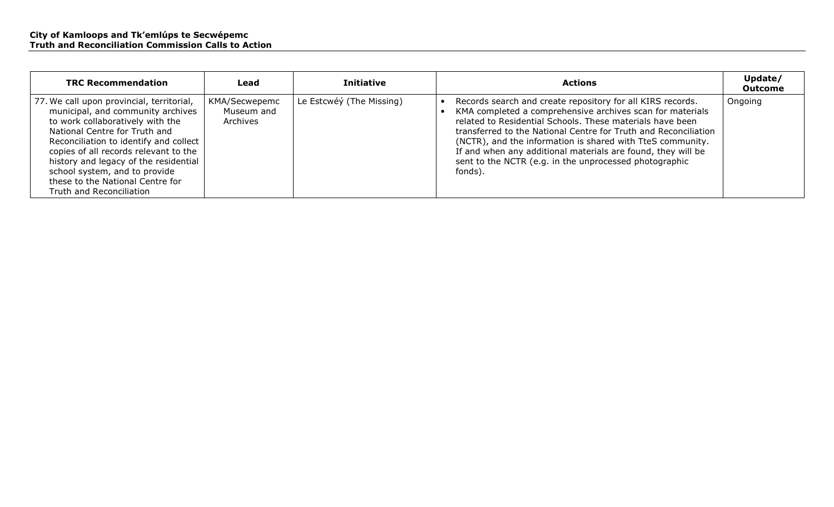| <b>TRC Recommendation</b>                                                                                                                                                                                                                                                                                                                                                        | Lead                                    | <b>Initiative</b>        | <b>Actions</b>                                                                                                                                                                                                                                                                                                                                                                                                                                             | Update/<br><b>Outcome</b> |
|----------------------------------------------------------------------------------------------------------------------------------------------------------------------------------------------------------------------------------------------------------------------------------------------------------------------------------------------------------------------------------|-----------------------------------------|--------------------------|------------------------------------------------------------------------------------------------------------------------------------------------------------------------------------------------------------------------------------------------------------------------------------------------------------------------------------------------------------------------------------------------------------------------------------------------------------|---------------------------|
| 77. We call upon provincial, territorial,<br>municipal, and community archives<br>to work collaboratively with the<br>National Centre for Truth and<br>Reconciliation to identify and collect<br>copies of all records relevant to the<br>history and legacy of the residential<br>school system, and to provide<br>these to the National Centre for<br>Truth and Reconciliation | KMA/Secwepemc<br>Museum and<br>Archives | Le Estcwéý (The Missing) | Records search and create repository for all KIRS records.<br>KMA completed a comprehensive archives scan for materials<br>related to Residential Schools. These materials have been<br>transferred to the National Centre for Truth and Reconciliation<br>(NCTR), and the information is shared with TteS community.<br>If and when any additional materials are found, they will be<br>sent to the NCTR (e.g. in the unprocessed photographic<br>fonds). | Ongoing                   |